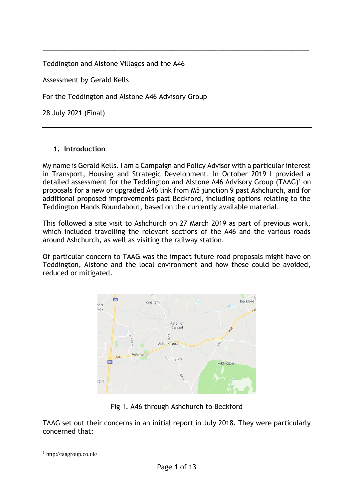Teddington and Alstone Villages and the A46

Assessment by Gerald Kells

For the Teddington and Alstone A46 Advisory Group

28 July 2021 (Final)

### **1. Introduction**

My name is Gerald Kells. I am a Campaign and Policy Advisor with a particular interest in Transport, Housing and Strategic Development. In October 2019 I provided a detailed assessment for the Teddington and Alstone A46 Advisory Group (TAAG)<sup>1</sup> on proposals for a new or upgraded A46 link from M5 junction 9 past Ashchurch, and for additional proposed improvements past Beckford, including options relating to the Teddington Hands Roundabout, based on the currently available material.

**\_\_\_\_\_\_\_\_\_\_\_\_\_\_\_\_\_\_\_\_\_\_\_\_\_\_\_\_\_\_\_\_\_\_\_\_\_\_\_\_\_\_\_\_\_\_\_\_\_\_\_\_\_\_\_\_\_\_\_\_\_\_\_\_**

This followed a site visit to Ashchurch on 27 March 2019 as part of previous work, which included travelling the relevant sections of the A46 and the various roads around Ashchurch, as well as visiting the railway station.

Of particular concern to TAAG was the impact future road proposals might have on Teddington, Alstone and the local environment and how these could be avoided, reduced or mitigated.



Fig 1. A46 through Ashchurch to Beckford

TAAG set out their concerns in an initial report in July 2018. They were particularly concerned that:

<sup>1</sup> http://taagroup.co.uk/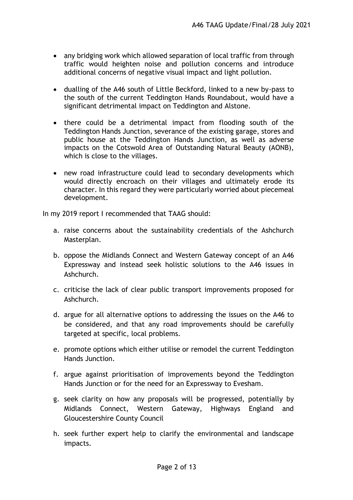- any bridging work which allowed separation of local traffic from through traffic would heighten noise and pollution concerns and introduce additional concerns of negative visual impact and light pollution.
- dualling of the A46 south of Little Beckford, linked to a new by-pass to the south of the current Teddington Hands Roundabout, would have a significant detrimental impact on Teddington and Alstone.
- there could be a detrimental impact from flooding south of the Teddington Hands Junction, severance of the existing garage, stores and public house at the Teddington Hands Junction, as well as adverse impacts on the Cotswold Area of Outstanding Natural Beauty (AONB), which is close to the villages.
- new road infrastructure could lead to secondary developments which would directly encroach on their villages and ultimately erode its character. In this regard they were particularly worried about piecemeal development.

In my 2019 report I recommended that TAAG should:

- a. raise concerns about the sustainability credentials of the Ashchurch Masterplan.
- b. oppose the Midlands Connect and Western Gateway concept of an A46 Expressway and instead seek holistic solutions to the A46 issues in Ashchurch.
- c. criticise the lack of clear public transport improvements proposed for Ashchurch.
- d. argue for all alternative options to addressing the issues on the A46 to be considered, and that any road improvements should be carefully targeted at specific, local problems.
- e. promote options which either utilise or remodel the current Teddington Hands Junction.
- f. argue against prioritisation of improvements beyond the Teddington Hands Junction or for the need for an Expressway to Evesham.
- g. seek clarity on how any proposals will be progressed, potentially by Midlands Connect, Western Gateway, Highways England and Gloucestershire County Council
- h. seek further expert help to clarify the environmental and landscape impacts.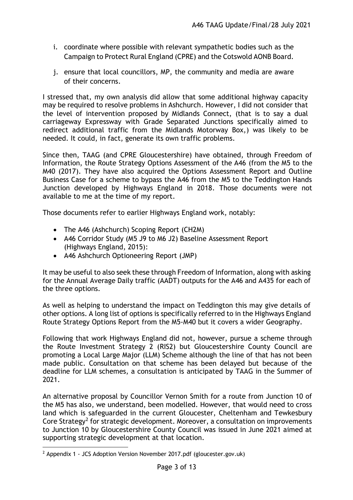- i. coordinate where possible with relevant sympathetic bodies such as the Campaign to Protect Rural England (CPRE) and the Cotswold AONB Board.
- j. ensure that local councillors, MP, the community and media are aware of their concerns.

I stressed that, my own analysis did allow that some additional highway capacity may be required to resolve problems in Ashchurch. However, I did not consider that the level of intervention proposed by Midlands Connect, (that is to say a dual carriageway Expressway with Grade Separated Junctions specifically aimed to redirect additional traffic from the Midlands Motorway Box,) was likely to be needed. It could, in fact, generate its own traffic problems.

Since then, TAAG (and CPRE Gloucestershire) have obtained, through Freedom of Information, the Route Strategy Options Assessment of the A46 (from the M5 to the M40 (2017). They have also acquired the Options Assessment Report and Outline Business Case for a scheme to bypass the A46 from the M5 to the Teddington Hands Junction developed by Highways England in 2018. Those documents were not available to me at the time of my report.

Those documents refer to earlier Highways England work, notably:

- The A46 (Ashchurch) Scoping Report (CH2M)
- A46 Corridor Study (M5 J9 to M6 J2) Baseline Assessment Report (Highways England, 2015):
- A46 Ashchurch Optioneering Report (JMP)

It may be useful to also seek these through Freedom of Information, along with asking for the Annual Average Daily traffic (AADT) outputs for the A46 and A435 for each of the three options.

As well as helping to understand the impact on Teddington this may give details of other options. A long list of options is specifically referred to in the Highways England Route Strategy Options Report from the M5-M40 but it covers a wider Geography.

Following that work Highways England did not, however, pursue a scheme through the Route Investment Strategy 2 (RIS2) but Gloucestershire County Council are promoting a Local Large Major (LLM) Scheme although the line of that has not been made public. Consultation on that scheme has been delayed but because of the deadline for LLM schemes, a consultation is anticipated by TAAG in the Summer of 2021.

An alternative proposal by Councillor Vernon Smith for a route from Junction 10 of the M5 has also, we understand, been modelled. However, that would need to cross land which is safeguarded in the current Gloucester, Cheltenham and Tewkesbury Core Strategy<sup>2</sup> for strategic development. Moreover, a consultation on improvements to Junction 10 by Gloucestershire County Council was issued in June 2021 aimed at supporting strategic development at that location.

<sup>&</sup>lt;sup>2</sup> Appendix 1 - [JCS Adoption Version November 2017.pdf \(gloucester.gov.uk\)](http://democracy.gloucester.gov.uk/documents/s40802/Appendix%201%20-%20JCS%20Adoption%20Version%20November%202017.pdf)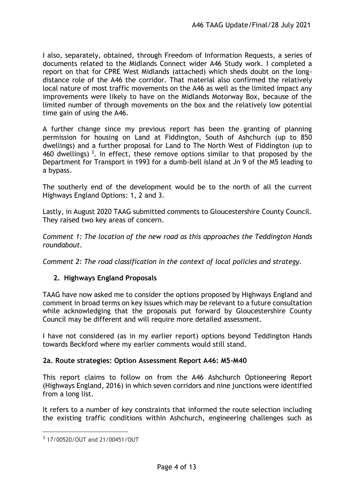I also, separately, obtained, through Freedom of Information Requests, a series of documents related to the Midlands Connect wider A46 Study work. I completed a report on that for CPRE West Midlands (attached) which sheds doubt on the longdistance role of the A46 the corridor. That material also confirmed the relatively local nature of most traffic movements on the A46 as well as the limited impact any improvements were likely to have on the Midlands Motorway Box, because of the limited number of through movements on the box and the relatively low potential time gain of using the A46.

A further change since my previous report has been the granting of planning permission for housing on Land at Fiddington, South of Ashchurch (up to 850 dwellings) and a further proposal for Land to The North West of Fiddington (up to 460 dwellings)<sup>3</sup>. In effect, these remove options similar to that proposed by the Department for Transport in 1993 for a dumb-bell island at Jn 9 of the M5 leading to a bypass.

The southerly end of the development would be to the north of all the current Highways England Options: 1, 2 and 3.

Lastly, in August 2020 TAAG submitted comments to Gloucestershire County Council. They raised two key areas of concern.

*Comment 1: The location of the new road as this approaches the Teddington Hands roundabout.*

*Comment 2: The road classification in the context of local policies and strategy.* 

## **2. Highways England Proposals**

TAAG have now asked me to consider the options proposed by Highways England and comment in broad terms on key issues which may be relevant to a future consultation while acknowledging that the proposals put forward by Gloucestershire County Council may be different and will require more detailed assessment.

I have not considered (as in my earlier report) options beyond Teddington Hands towards Beckford where my earlier comments would still stand.

#### **2a. Route strategies: Option Assessment Report A46: M5-M40**

This report claims to follow on from the A46 Ashchurch Optioneering Report (Highways England, 2016) in which seven corridors and nine junctions were identified from a long list.

It refers to a number of key constraints that informed the route selection including the existing traffic conditions within Ashchurch, engineering challenges such as

<sup>3</sup> 17/00520/OUT and 21/00451/OUT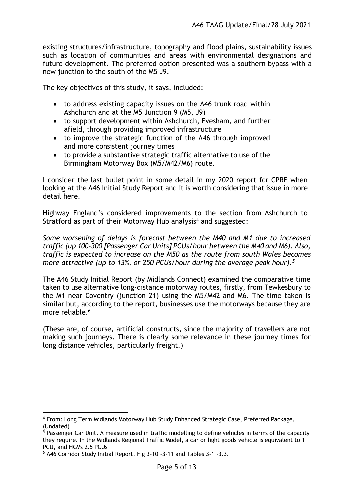existing structures/infrastructure, topography and flood plains, sustainability issues such as location of communities and areas with environmental designations and future development. The preferred option presented was a southern bypass with a new junction to the south of the M5 J9.

The key objectives of this study, it says, included:

- to address existing capacity issues on the A46 trunk road within Ashchurch and at the M5 Junction 9 (M5, J9)
- to support development within Ashchurch, Evesham, and further afield, through providing improved infrastructure
- to improve the strategic function of the A46 through improved and more consistent journey times
- to provide a substantive strategic traffic alternative to use of the Birmingham Motorway Box (M5/M42/M6) route.

I consider the last bullet point in some detail in my 2020 report for CPRE when looking at the A46 Initial Study Report and it is worth considering that issue in more detail here.

Highway England's considered improvements to the section from Ashchurch to Stratford as part of their Motorway Hub analysis<sup>4</sup> and suggested:

*Some worsening of delays is forecast between the M40 and M1 due to increased traffic (up 100-300 [Passenger Car Units] PCUs/hour between the M40 and M6). Also, traffic is expected to increase on the M50 as the route from south Wales becomes more attractive (up to 13%, or 250 PCUs/hour during the average peak hour).<sup>5</sup>*

The A46 Study Initial Report (by Midlands Connect) examined the comparative time taken to use alternative long-distance motorway routes, firstly, from Tewkesbury to the M1 near Coventry (junction 21) using the M5/M42 and M6. The time taken is similar but, according to the report, businesses use the motorways because they are more reliable.<sup>6</sup>

(These are, of course, artificial constructs, since the majority of travellers are not making such journeys. There is clearly some relevance in these journey times for long distance vehicles, particularly freight.)

<sup>4</sup> From: Long Term Midlands Motorway Hub Study Enhanced Strategic Case, Preferred Package, (Undated)

 $5$  Passenger Car Unit. A measure used in traffic modelling to define vehicles in terms of the capacity they require. In the Midlands Regional Traffic Model, a car or light goods vehicle is equivalent to 1 PCU, and HGVs 2.5 PCUs

<sup>6</sup> A46 Corridor Study Initial Report, Fig 3-10 -3-11 and Tables 3-1 -3.3.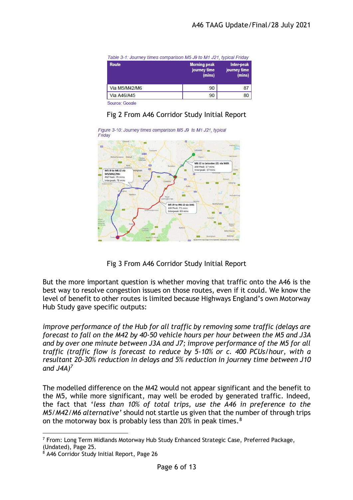| Table 3-1: Journey times comparison M5 J9 to M1 J21, typical Friday |                                               |                                      |  |  |
|---------------------------------------------------------------------|-----------------------------------------------|--------------------------------------|--|--|
| Route                                                               | <b>Morning peak</b><br>journey time<br>(mins) | Inter-peak<br>journey time<br>(mins) |  |  |
| Via M5/M42/M6                                                       | 90                                            | 87                                   |  |  |
| Via A46/A45                                                         | 90                                            | 80                                   |  |  |
| Source: Google                                                      |                                               |                                      |  |  |

# Fig 2 From A46 Corridor Study Initial Report



Fig 3 From A46 Corridor Study Initial Report

But the more important question is whether moving that traffic onto the A46 is the best way to resolve congestion issues on those routes, even if it could. We know the level of benefit to other routes is limited because Highways England's own Motorway Hub Study gave specific outputs:

*improve performance of the Hub for all traffic by removing some traffic (delays are forecast to fall on the M42 by 40-50 vehicle hours per hour between the M5 and J3A and by over one minute between J3A and J7; improve performance of the M5 for all traffic (traffic flow is forecast to reduce by 5-10% or c. 400 PCUs/hour, with a resultant 20-30% reduction in delays and 5% reduction in journey time between J10 and J4A)<sup>7</sup>*

The modelled difference on the M42 would not appear significant and the benefit to the M5, while more significant, may well be eroded by generated traffic. Indeed, the fact that '*less than 10% of total trips, use the A46 in preference to the M5/M42/M6 alternative'* should not startle us given that the number of through trips on the motorway box is probably less than 20% in peak times.<sup>8</sup>

<sup>7</sup> From: Long Term Midlands Motorway Hub Study Enhanced Strategic Case, Preferred Package, (Undated), Page 25.

<sup>8</sup> A46 Corridor Study Initial Report, Page 26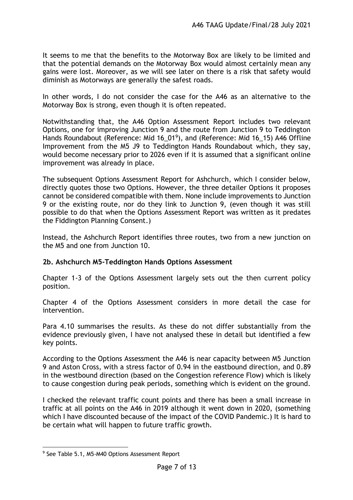It seems to me that the benefits to the Motorway Box are likely to be limited and that the potential demands on the Motorway Box would almost certainly mean any gains were lost. Moreover, as we will see later on there is a risk that safety would diminish as Motorways are generally the safest roads.

In other words, I do not consider the case for the A46 as an alternative to the Motorway Box is strong, even though it is often repeated.

Notwithstanding that, the A46 Option Assessment Report includes two relevant Options, one for improving Junction 9 and the route from Junction 9 to Teddington Hands Roundabout (Reference: Mid 16\_01<sup>9</sup>), and (Reference: Mid 16\_15) A46 Offline Improvement from the M5 J9 to Teddington Hands Roundabout which, they say, would become necessary prior to 2026 even if it is assumed that a significant online improvement was already in place.

The subsequent Options Assessment Report for Ashchurch, which I consider below, directly quotes those two Options. However, the three detailer Options it proposes cannot be considered compatible with them. None include improvements to Junction 9 or the existing route, nor do they link to Junction 9, (even though it was still possible to do that when the Options Assessment Report was written as it predates the Fiddington Planning Consent.)

Instead, the Ashchurch Report identifies three routes, two from a new junction on the M5 and one from Junction 10.

## **2b. Ashchurch M5-Teddington Hands Options Assessment**

Chapter 1-3 of the Options Assessment largely sets out the then current policy position.

Chapter 4 of the Options Assessment considers in more detail the case for intervention.

Para 4.10 summarises the results. As these do not differ substantially from the evidence previously given, I have not analysed these in detail but identified a few key points.

According to the Options Assessment the A46 is near capacity between M5 Junction 9 and Aston Cross, with a stress factor of 0.94 in the eastbound direction, and 0.89 in the westbound direction (based on the Congestion reference Flow) which is likely to cause congestion during peak periods, something which is evident on the ground.

I checked the relevant traffic count points and there has been a small increase in traffic at all points on the A46 in 2019 although it went down in 2020, (something which I have discounted because of the impact of the COVID Pandemic.) It is hard to be certain what will happen to future traffic growth.

<sup>&</sup>lt;sup>9</sup> See Table 5.1, M5-M40 Options Assessment Report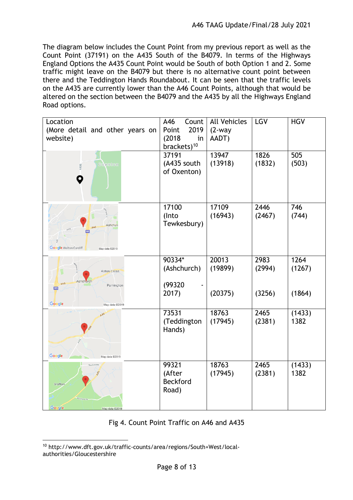The diagram below includes the Count Point from my previous report as well as the Count Point (37191) on the A435 South of the B4079. In terms of the Highways England Options the A435 Count Point would be South of both Option 1 and 2. Some traffic might leave on the B4079 but there is no alternative count point between there and the Teddington Hands Roundabout. It can be seen that the traffic levels on the A435 are currently lower than the A46 Count Points, although that would be altered on the section between the B4079 and the A435 by all the Highways England Road options.

| Location<br>(More detail and other years on<br>website)                         | A46<br>Count<br>2019<br>Point<br>(2018)<br>in<br>brackets) <sup>10</sup> | <b>All Vehicles</b><br>$(2-way)$<br>AADT) | <b>LGV</b>               | <b>HGV</b>               |
|---------------------------------------------------------------------------------|--------------------------------------------------------------------------|-------------------------------------------|--------------------------|--------------------------|
| <b>Oxenton</b><br>A435                                                          | 37191<br>(A435 south<br>of Oxenton)                                      | 13947<br>(13918)                          | 1826<br>(1832)           | 505<br>(503)             |
| Ashchur<br><b>A46</b><br>A438<br><b>Google Walton Cardiff</b><br>Map data @2019 | 17100<br>(Into<br>Tewkesbury)                                            | 17109<br>(16943)                          | 2446<br>(2467)           | 746<br>(744)             |
| <b>Aston Cross</b><br>Ashchurch<br>A46<br>Pamington<br>M <sub>5</sub>           | 90334*<br>(Ashchurch)<br>(99320<br>2017)                                 | 20013<br>(19899)<br>(20375)               | 2983<br>(2994)<br>(3256) | 1264<br>(1267)<br>(1864) |
| Google<br>Map data @2019                                                        |                                                                          |                                           |                          |                          |
|                                                                                 | 73531<br>(Teddington<br>Hands)                                           | 18763<br>(17945)                          | 2465<br>(2381)           | (1433)<br>1382           |
| Google<br>Map data @2019                                                        |                                                                          |                                           |                          |                          |
| The Groaten<br>946<br>Grafton<br>Google<br>Man data @201                        | 99321<br>(After<br><b>Beckford</b><br>Road)                              | 18763<br>(17945)                          | 2465<br>(2381)           | (1433)<br>1382           |

## Fig 4. Count Point Traffic on A46 and A435

<sup>10</sup> http://www.dft.gov.uk/traffic-counts/area/regions/South+West/localauthorities/Gloucestershire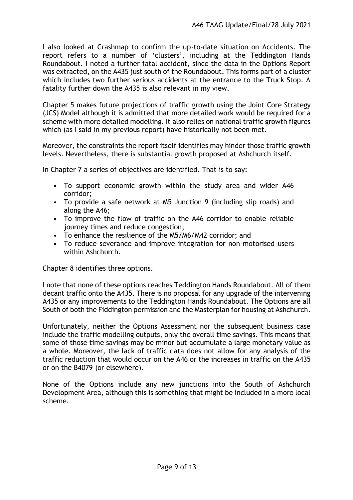I also looked at Crashmap to confirm the up-to-date situation on Accidents. The report refers to a number of 'clusters', including at the Teddington Hands Roundabout. I noted a further fatal accident, since the data in the Options Report was extracted, on the A435 just south of the Roundabout. This forms part of a cluster which includes two further serious accidents at the entrance to the Truck Stop. A fatality further down the A435 is also relevant in my view.

Chapter 5 makes future projections of traffic growth using the Joint Core Strategy (JCS) Model although it is admitted that more detailed work would be required for a scheme with more detailed modelling. It also relies on national traffic growth figures which (as I said in my previous report) have historically not been met.

Moreover, the constraints the report itself identifies may hinder those traffic growth levels. Nevertheless, there is substantial growth proposed at Ashchurch itself.

In Chapter 7 a series of objectives are identified. That is to say:

- To support economic growth within the study area and wider A46 corridor;
- To provide a safe network at M5 Junction 9 (including slip roads) and along the A46;
- To improve the flow of traffic on the A46 corridor to enable reliable journey times and reduce congestion;
- To enhance the resilience of the M5/M6/M42 corridor; and
- To reduce severance and improve integration for non-motorised users within Ashchurch.

Chapter 8 identifies three options.

I note that none of these options reaches Teddington Hands Roundabout. All of them decant traffic onto the A435. There is no proposal for any upgrade of the intervening A435 or any improvements to the Teddington Hands Roundabout. The Options are all South of both the Fiddington permission and the Masterplan for housing at Ashchurch.

Unfortunately, neither the Options Assessment nor the subsequent business case include the traffic modelling outputs, only the overall time savings. This means that some of those time savings may be minor but accumulate a large monetary value as a whole. Moreover, the lack of traffic data does not allow for any analysis of the traffic reduction that would occur on the A46 or the increases in traffic on the A435 or on the B4079 (or elsewhere).

None of the Options include any new junctions into the South of Ashchurch Development Area, although this is something that might be included in a more local scheme.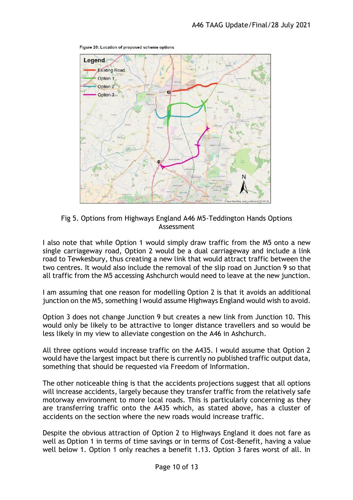

Figure 20: Location of proposed scheme options

Fig 5. Options from Highways England A46 M5-Teddington Hands Options Assessment

I also note that while Option 1 would simply draw traffic from the M5 onto a new single carriageway road, Option 2 would be a dual carriageway and include a link road to Tewkesbury, thus creating a new link that would attract traffic between the two centres. It would also include the removal of the slip road on Junction 9 so that all traffic from the M5 accessing Ashchurch would need to leave at the new junction.

I am assuming that one reason for modelling Option 2 is that it avoids an additional junction on the M5, something I would assume Highways England would wish to avoid.

Option 3 does not change Junction 9 but creates a new link from Junction 10. This would only be likely to be attractive to longer distance travellers and so would be less likely in my view to alleviate congestion on the A46 in Ashchurch.

All three options would increase traffic on the A435. I would assume that Option 2 would have the largest impact but there is currently no published traffic output data, something that should be requested via Freedom of Information.

The other noticeable thing is that the accidents projections suggest that all options will increase accidents, largely because they transfer traffic from the relatively safe motorway environment to more local roads. This is particularly concerning as they are transferring traffic onto the A435 which, as stated above, has a cluster of accidents on the section where the new roads would increase traffic.

Despite the obvious attraction of Option 2 to Highways England it does not fare as well as Option 1 in terms of time savings or in terms of Cost-Benefit, having a value well below 1. Option 1 only reaches a benefit 1.13. Option 3 fares worst of all. In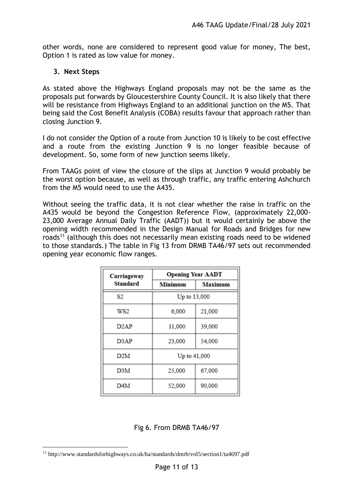other words, none are considered to represent good value for money, The best, Option 1 is rated as low value for money.

#### **3. Next Steps**

As stated above the Highways England proposals may not be the same as the proposals put forwards by Gloucestershire County Council. It is also likely that there will be resistance from Highways England to an additional junction on the M5. That being said the Cost Benefit Analysis (COBA) results favour that approach rather than closing Junction 9.

I do not consider the Option of a route from Junction 10 is likely to be cost effective and a route from the existing Junction 9 is no longer feasible because of development. So, some form of new junction seems likely.

From TAAGs point of view the closure of the slips at Junction 9 would probably be the worst option because, as well as through traffic, any traffic entering Ashchurch from the M5 would need to use the A435.

Without seeing the traffic data, it is not clear whether the raise in traffic on the A435 would be beyond the Congestion Reference Flow, (approximately 22,000- 23,000 Average Annual Daily Traffic (AADT)) but it would certainly be above the opening width recommended in the Design Manual for Roads and Bridges for new roads<sup>11</sup> (although this does not necessarily mean existing roads need to be widened to those standards.) The table in Fig 13 from DRMB TA46/97 sets out recommended opening year economic flow ranges.

| Carriageway       | <b>Opening Year AADT</b> |         |  |
|-------------------|--------------------------|---------|--|
| Standard          | Minimum                  | Maximum |  |
| S2                | Up to 13,000             |         |  |
| WS2               | 6,000                    | 21,000  |  |
| D <sub>2</sub> AP | 11,000                   | 39,000  |  |
| D3AP              | 23,000                   | 54,000  |  |
| D2M               | Up to 41,000             |         |  |
| D3M               | 25,000                   | 67,000  |  |
| D4M               | 52,000                   | 90,000  |  |

Fig 6. From DRMB TA46/97

<sup>&</sup>lt;sup>11</sup> http://www.standardsforhighways.co.uk/ha/standards/dmrb/vol5/section1/ta4697.pdf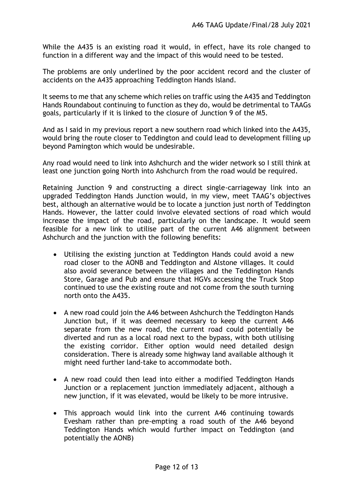While the A435 is an existing road it would, in effect, have its role changed to function in a different way and the impact of this would need to be tested.

The problems are only underlined by the poor accident record and the cluster of accidents on the A435 approaching Teddington Hands Island.

It seems to me that any scheme which relies on traffic using the A435 and Teddington Hands Roundabout continuing to function as they do, would be detrimental to TAAGs goals, particularly if it is linked to the closure of Junction 9 of the M5.

And as I said in my previous report a new southern road which linked into the A435, would bring the route closer to Teddington and could lead to development filling up beyond Pamington which would be undesirable.

Any road would need to link into Ashchurch and the wider network so I still think at least one junction going North into Ashchurch from the road would be required.

Retaining Junction 9 and constructing a direct single-carriageway link into an upgraded Teddington Hands Junction would, in my view, meet TAAG's objectives best, although an alternative would be to locate a junction just north of Teddington Hands. However, the latter could involve elevated sections of road which would increase the impact of the road, particularly on the landscape. It would seem feasible for a new link to utilise part of the current A46 alignment between Ashchurch and the junction with the following benefits:

- Utilising the existing junction at Teddington Hands could avoid a new road closer to the AONB and Teddington and Alstone villages. It could also avoid severance between the villages and the Teddington Hands Store, Garage and Pub and ensure that HGVs accessing the Truck Stop continued to use the existing route and not come from the south turning north onto the A435.
- A new road could join the A46 between Ashchurch the Teddington Hands Junction but, if it was deemed necessary to keep the current A46 separate from the new road, the current road could potentially be diverted and run as a local road next to the bypass, with both utilising the existing corridor. Either option would need detailed design consideration. There is already some highway land available although it might need further land-take to accommodate both.
- A new road could then lead into either a modified Teddington Hands Junction or a replacement junction immediately adjacent, although a new junction, if it was elevated, would be likely to be more intrusive.
- This approach would link into the current A46 continuing towards Evesham rather than pre-empting a road south of the A46 beyond Teddington Hands which would further impact on Teddington (and potentially the AONB)